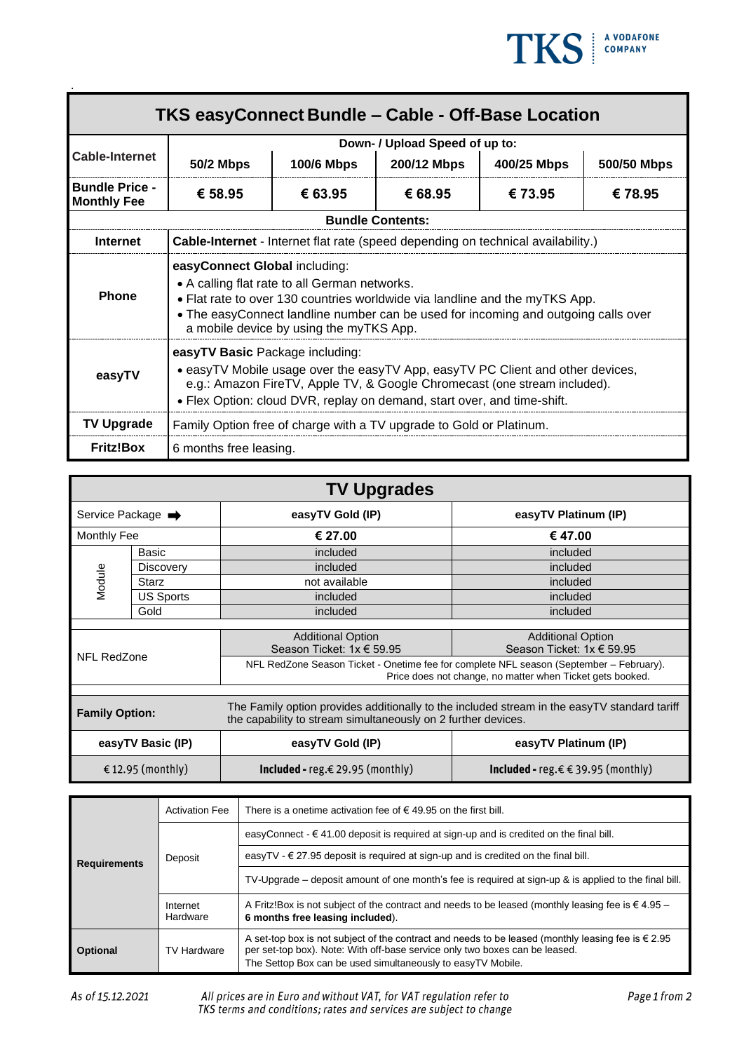

| TKS easyConnect Bundle - Cable - Off-Base Location |                                                                                                                                                                                                                                                                                                |                   |                         |             |             |  |
|----------------------------------------------------|------------------------------------------------------------------------------------------------------------------------------------------------------------------------------------------------------------------------------------------------------------------------------------------------|-------------------|-------------------------|-------------|-------------|--|
| <b>Cable-Internet</b>                              | Down- / Upload Speed of up to:                                                                                                                                                                                                                                                                 |                   |                         |             |             |  |
|                                                    | <b>50/2 Mbps</b>                                                                                                                                                                                                                                                                               | <b>100/6 Mbps</b> | 200/12 Mbps             | 400/25 Mbps | 500/50 Mbps |  |
| <b>Bundle Price -</b><br><b>Monthly Fee</b>        | € 58.95                                                                                                                                                                                                                                                                                        | € 63.95           | € 68.95                 | € 73.95     | € 78.95     |  |
|                                                    |                                                                                                                                                                                                                                                                                                |                   | <b>Bundle Contents:</b> |             |             |  |
| <b>Internet</b>                                    | <b>Cable-Internet</b> - Internet flat rate (speed depending on technical availability.)                                                                                                                                                                                                        |                   |                         |             |             |  |
| <b>Phone</b>                                       | easyConnect Global including:<br>• A calling flat rate to all German networks.<br>• Flat rate to over 130 countries worldwide via landline and the myTKS App.<br>• The easyConnect landline number can be used for incoming and outgoing calls over<br>a mobile device by using the myTKS App. |                   |                         |             |             |  |
| easyTV                                             | easyTV Basic Package including:<br>• easyTV Mobile usage over the easyTV App, easyTV PC Client and other devices,<br>e.g.: Amazon FireTV, Apple TV, & Google Chromecast (one stream included).<br>• Flex Option: cloud DVR, replay on demand, start over, and time-shift.                      |                   |                         |             |             |  |
| <b>TV Upgrade</b>                                  | Family Option free of charge with a TV upgrade to Gold or Platinum.                                                                                                                                                                                                                            |                   |                         |             |             |  |
| <b>Fritz!Box</b>                                   | 6 months free leasing.                                                                                                                                                                                                                                                                         |                   |                         |             |             |  |

| <b>TV Upgrades</b>            |                  |                                                                                                                                                               |                                           |  |
|-------------------------------|------------------|---------------------------------------------------------------------------------------------------------------------------------------------------------------|-------------------------------------------|--|
| Service Package $\rightarrow$ |                  | easyTV Gold (IP)                                                                                                                                              | easyTV Platinum (IP)                      |  |
| Monthly Fee                   |                  | € 27.00                                                                                                                                                       | € 47.00                                   |  |
| Module                        | Basic            | included                                                                                                                                                      | included                                  |  |
|                               | Discovery        | included                                                                                                                                                      | included                                  |  |
|                               | <b>Starz</b>     | not available                                                                                                                                                 | included                                  |  |
|                               | <b>US Sports</b> | included                                                                                                                                                      | included                                  |  |
|                               | Gold             | included                                                                                                                                                      | included                                  |  |
|                               |                  |                                                                                                                                                               |                                           |  |
|                               |                  | <b>Additional Option</b><br><b>Additional Option</b>                                                                                                          |                                           |  |
|                               |                  | Season Ticket: 1x € 59.95                                                                                                                                     | Season Ticket: 1x € 59.95                 |  |
| NFL RedZone                   |                  | NFL RedZone Season Ticket - Onetime fee for complete NFL season (September - February).<br>Price does not change, no matter when Ticket gets booked.          |                                           |  |
|                               |                  |                                                                                                                                                               |                                           |  |
| <b>Family Option:</b>         |                  | The Family option provides additionally to the included stream in the easyTV standard tariff<br>the capability to stream simultaneously on 2 further devices. |                                           |  |
| easyTV Basic (IP)             |                  | easyTV Gold (IP)                                                                                                                                              | easyTV Platinum (IP)                      |  |
| € 12.95 (monthly)             |                  | <b>Included -</b> reg.€29.95 (monthly)                                                                                                                        | <b>Included -</b> reg.€ € 39.95 (monthly) |  |

| <b>Requirements</b> | <b>Activation Fee</b> | There is a onetime activation fee of $\epsilon$ 49.95 on the first bill.                                                                                                                                                                                  |  |  |
|---------------------|-----------------------|-----------------------------------------------------------------------------------------------------------------------------------------------------------------------------------------------------------------------------------------------------------|--|--|
|                     | Deposit               | easyConnect - $\epsilon$ 41.00 deposit is required at sign-up and is credited on the final bill.                                                                                                                                                          |  |  |
|                     |                       | easyTV - $\in$ 27.95 deposit is required at sign-up and is credited on the final bill.                                                                                                                                                                    |  |  |
|                     |                       | TV-Upgrade – deposit amount of one month's fee is required at sign-up & is applied to the final bill.                                                                                                                                                     |  |  |
|                     | Internet<br>Hardware  | A Fritz!Box is not subject of the contract and needs to be leased (monthly leasing fee is $\in$ 4.95 -<br>6 months free leasing included).                                                                                                                |  |  |
| <b>Optional</b>     | <b>TV Hardware</b>    | A set-top box is not subject of the contract and needs to be leased (monthly leasing fee is $\epsilon$ 2.95<br>per set-top box). Note: With off-base service only two boxes can be leased.<br>The Settop Box can be used simultaneously to easyTV Mobile. |  |  |